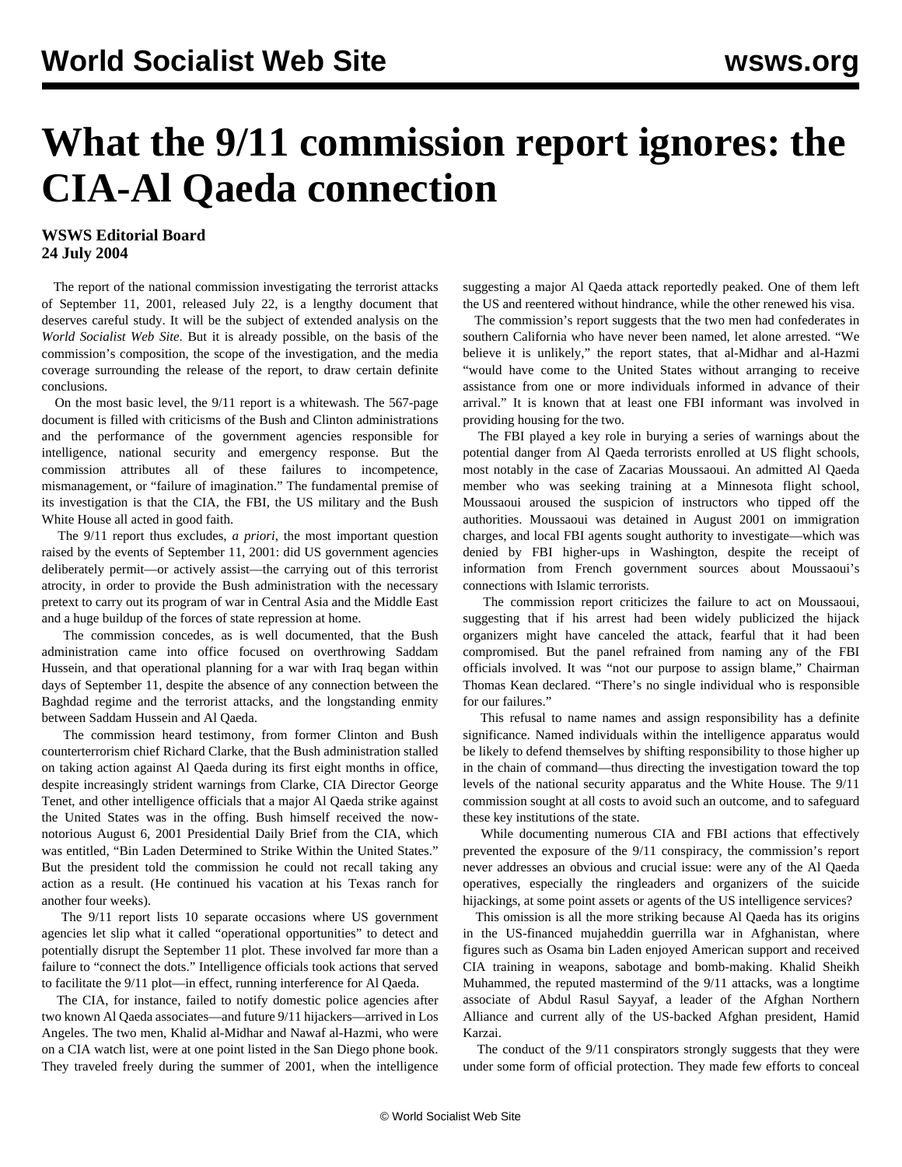# **What the 9/11 commission report ignores: the CIA-Al Qaeda connection**

### **WSWS Editorial Board 24 July 2004**

 The report of the national commission investigating the terrorist attacks of September 11, 2001, released July 22, is a lengthy document that deserves careful study. It will be the subject of extended analysis on the *World Socialist Web Site*. But it is already possible, on the basis of the commission's composition, the scope of the investigation, and the media coverage surrounding the release of the report, to draw certain definite conclusions.

 On the most basic level, the 9/11 report is a whitewash. The 567-page document is filled with criticisms of the Bush and Clinton administrations and the performance of the government agencies responsible for intelligence, national security and emergency response. But the commission attributes all of these failures to incompetence, mismanagement, or "failure of imagination." The fundamental premise of its investigation is that the CIA, the FBI, the US military and the Bush White House all acted in good faith.

 The 9/11 report thus excludes, *a priori*, the most important question raised by the events of September 11, 2001: did US government agencies deliberately permit—or actively assist—the carrying out of this terrorist atrocity, in order to provide the Bush administration with the necessary pretext to carry out its program of war in Central Asia and the Middle East and a huge buildup of the forces of state repression at home.

 The commission concedes, as is well documented, that the Bush administration came into office focused on overthrowing Saddam Hussein, and that operational planning for a war with Iraq began within days of September 11, despite the absence of any connection between the Baghdad regime and the terrorist attacks, and the longstanding enmity between Saddam Hussein and Al Qaeda.

 The commission heard testimony, from former Clinton and Bush counterterrorism chief Richard Clarke, that the Bush administration stalled on taking action against Al Qaeda during its first eight months in office, despite increasingly strident warnings from Clarke, CIA Director George Tenet, and other intelligence officials that a major Al Qaeda strike against the United States was in the offing. Bush himself received the nownotorious August 6, 2001 Presidential Daily Brief from the CIA, which was entitled, "Bin Laden Determined to Strike Within the United States." But the president told the commission he could not recall taking any action as a result. (He continued his vacation at his Texas ranch for another four weeks).

 The 9/11 report lists 10 separate occasions where US government agencies let slip what it called "operational opportunities" to detect and potentially disrupt the September 11 plot. These involved far more than a failure to "connect the dots." Intelligence officials took actions that served to facilitate the 9/11 plot—in effect, running interference for Al Qaeda.

 The CIA, for instance, failed to notify domestic police agencies after two known Al Qaeda associates—and future 9/11 hijackers—arrived in Los Angeles. The two men, Khalid al-Midhar and Nawaf al-Hazmi, who were on a CIA watch list, were at one point listed in the San Diego phone book. They traveled freely during the summer of 2001, when the intelligence suggesting a major Al Qaeda attack reportedly peaked. One of them left the US and reentered without hindrance, while the other renewed his visa.

 The commission's report suggests that the two men had confederates in southern California who have never been named, let alone arrested. "We believe it is unlikely," the report states, that al-Midhar and al-Hazmi "would have come to the United States without arranging to receive assistance from one or more individuals informed in advance of their arrival." It is known that at least one FBI informant was involved in providing housing for the two.

 The FBI played a key role in burying a series of warnings about the potential danger from Al Qaeda terrorists enrolled at US flight schools, most notably in the case of Zacarias Moussaoui. An admitted Al Qaeda member who was seeking training at a Minnesota flight school, Moussaoui aroused the suspicion of instructors who tipped off the authorities. Moussaoui was detained in August 2001 on immigration charges, and local FBI agents sought authority to investigate—which was denied by FBI higher-ups in Washington, despite the receipt of information from French government sources about Moussaoui's connections with Islamic terrorists.

 The commission report criticizes the failure to act on Moussaoui, suggesting that if his arrest had been widely publicized the hijack organizers might have canceled the attack, fearful that it had been compromised. But the panel refrained from naming any of the FBI officials involved. It was "not our purpose to assign blame," Chairman Thomas Kean declared. "There's no single individual who is responsible for our failures."

 This refusal to name names and assign responsibility has a definite significance. Named individuals within the intelligence apparatus would be likely to defend themselves by shifting responsibility to those higher up in the chain of command—thus directing the investigation toward the top levels of the national security apparatus and the White House. The 9/11 commission sought at all costs to avoid such an outcome, and to safeguard these key institutions of the state.

 While documenting numerous CIA and FBI actions that effectively prevented the exposure of the 9/11 conspiracy, the commission's report never addresses an obvious and crucial issue: were any of the Al Qaeda operatives, especially the ringleaders and organizers of the suicide hijackings, at some point assets or agents of the US intelligence services?

 This omission is all the more striking because Al Qaeda has its origins in the US-financed mujaheddin guerrilla war in Afghanistan, where figures such as Osama bin Laden enjoyed American support and received CIA training in weapons, sabotage and bomb-making. Khalid Sheikh Muhammed, the reputed mastermind of the 9/11 attacks, was a longtime associate of Abdul Rasul Sayyaf, a leader of the Afghan Northern Alliance and current ally of the US-backed Afghan president, Hamid Karzai.

 The conduct of the 9/11 conspirators strongly suggests that they were under some form of official protection. They made few efforts to conceal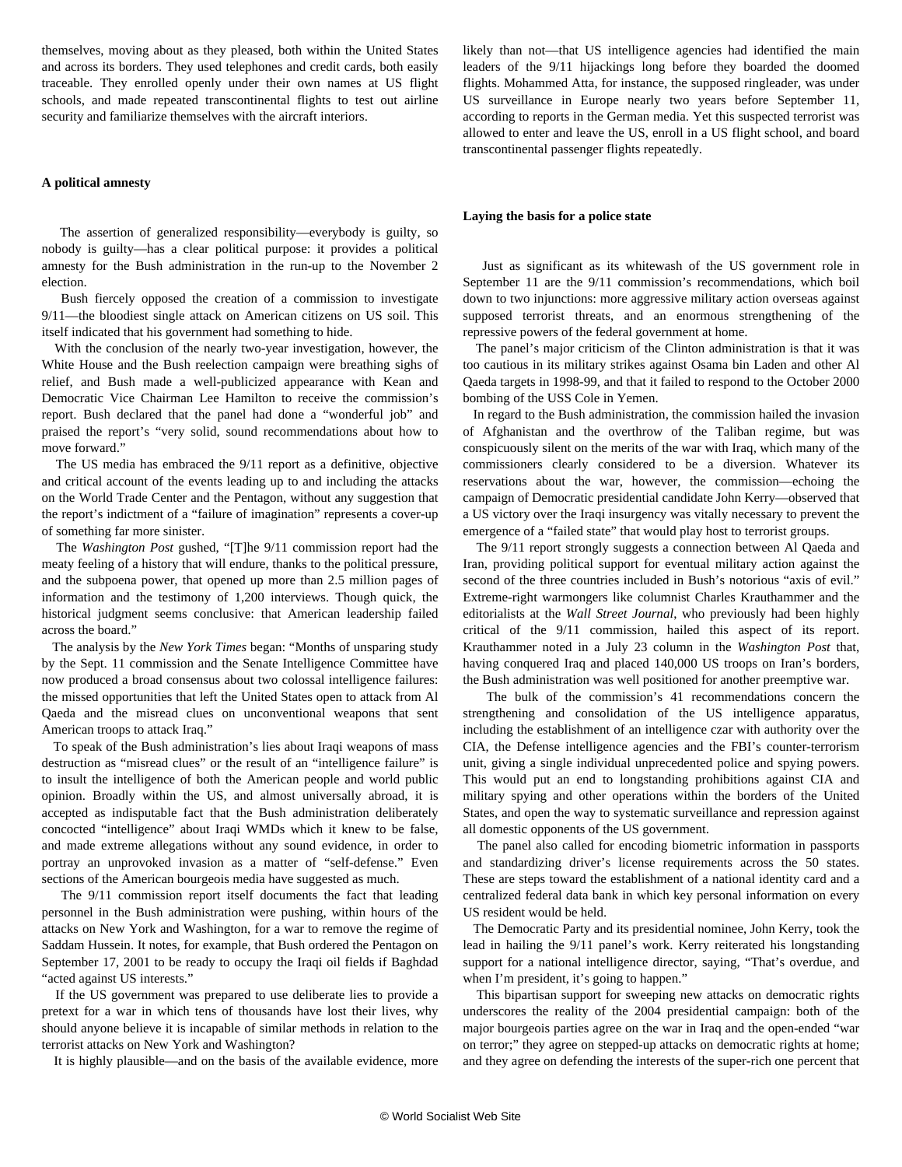themselves, moving about as they pleased, both within the United States and across its borders. They used telephones and credit cards, both easily traceable. They enrolled openly under their own names at US flight schools, and made repeated transcontinental flights to test out airline security and familiarize themselves with the aircraft interiors.

#### **A political amnesty**

 The assertion of generalized responsibility—everybody is guilty, so nobody is guilty—has a clear political purpose: it provides a political amnesty for the Bush administration in the run-up to the November 2 election.

 Bush fiercely opposed the creation of a commission to investigate 9/11—the bloodiest single attack on American citizens on US soil. This itself indicated that his government had something to hide.

 With the conclusion of the nearly two-year investigation, however, the White House and the Bush reelection campaign were breathing sighs of relief, and Bush made a well-publicized appearance with Kean and Democratic Vice Chairman Lee Hamilton to receive the commission's report. Bush declared that the panel had done a "wonderful job" and praised the report's "very solid, sound recommendations about how to move forward."

 The US media has embraced the 9/11 report as a definitive, objective and critical account of the events leading up to and including the attacks on the World Trade Center and the Pentagon, without any suggestion that the report's indictment of a "failure of imagination" represents a cover-up of something far more sinister.

 The *Washington Post* gushed, "[T]he 9/11 commission report had the meaty feeling of a history that will endure, thanks to the political pressure, and the subpoena power, that opened up more than 2.5 million pages of information and the testimony of 1,200 interviews. Though quick, the historical judgment seems conclusive: that American leadership failed across the board."

 The analysis by the *New York Times* began: "Months of unsparing study by the Sept. 11 commission and the Senate Intelligence Committee have now produced a broad consensus about two colossal intelligence failures: the missed opportunities that left the United States open to attack from Al Qaeda and the misread clues on unconventional weapons that sent American troops to attack Iraq."

 To speak of the Bush administration's lies about Iraqi weapons of mass destruction as "misread clues" or the result of an "intelligence failure" is to insult the intelligence of both the American people and world public opinion. Broadly within the US, and almost universally abroad, it is accepted as indisputable fact that the Bush administration deliberately concocted "intelligence" about Iraqi WMDs which it knew to be false, and made extreme allegations without any sound evidence, in order to portray an unprovoked invasion as a matter of "self-defense." Even sections of the American bourgeois media have suggested as much.

 The 9/11 commission report itself documents the fact that leading personnel in the Bush administration were pushing, within hours of the attacks on New York and Washington, for a war to remove the regime of Saddam Hussein. It notes, for example, that Bush ordered the Pentagon on September 17, 2001 to be ready to occupy the Iraqi oil fields if Baghdad "acted against US interests."

 If the US government was prepared to use deliberate lies to provide a pretext for a war in which tens of thousands have lost their lives, why should anyone believe it is incapable of similar methods in relation to the terrorist attacks on New York and Washington?

It is highly plausible—and on the basis of the available evidence, more

likely than not—that US intelligence agencies had identified the main leaders of the 9/11 hijackings long before they boarded the doomed flights. Mohammed Atta, for instance, the supposed ringleader, was under US surveillance in Europe nearly two years before September 11, according to reports in the German media. Yet this suspected terrorist was allowed to enter and leave the US, enroll in a US flight school, and board transcontinental passenger flights repeatedly.

#### **Laying the basis for a police state**

 Just as significant as its whitewash of the US government role in September 11 are the 9/11 commission's recommendations, which boil down to two injunctions: more aggressive military action overseas against supposed terrorist threats, and an enormous strengthening of the repressive powers of the federal government at home.

 The panel's major criticism of the Clinton administration is that it was too cautious in its military strikes against Osama bin Laden and other Al Qaeda targets in 1998-99, and that it failed to respond to the October 2000 bombing of the USS Cole in Yemen.

 In regard to the Bush administration, the commission hailed the invasion of Afghanistan and the overthrow of the Taliban regime, but was conspicuously silent on the merits of the war with Iraq, which many of the commissioners clearly considered to be a diversion. Whatever its reservations about the war, however, the commission—echoing the campaign of Democratic presidential candidate John Kerry—observed that a US victory over the Iraqi insurgency was vitally necessary to prevent the emergence of a "failed state" that would play host to terrorist groups.

 The 9/11 report strongly suggests a connection between Al Qaeda and Iran, providing political support for eventual military action against the second of the three countries included in Bush's notorious "axis of evil." Extreme-right warmongers like columnist Charles Krauthammer and the editorialists at the *Wall Street Journal*, who previously had been highly critical of the 9/11 commission, hailed this aspect of its report. Krauthammer noted in a July 23 column in the *Washington Post* that, having conquered Iraq and placed 140,000 US troops on Iran's borders, the Bush administration was well positioned for another preemptive war.

 The bulk of the commission's 41 recommendations concern the strengthening and consolidation of the US intelligence apparatus, including the establishment of an intelligence czar with authority over the CIA, the Defense intelligence agencies and the FBI's counter-terrorism unit, giving a single individual unprecedented police and spying powers. This would put an end to longstanding prohibitions against CIA and military spying and other operations within the borders of the United States, and open the way to systematic surveillance and repression against all domestic opponents of the US government.

 The panel also called for encoding biometric information in passports and standardizing driver's license requirements across the 50 states. These are steps toward the establishment of a national identity card and a centralized federal data bank in which key personal information on every US resident would be held.

 The Democratic Party and its presidential nominee, John Kerry, took the lead in hailing the 9/11 panel's work. Kerry reiterated his longstanding support for a national intelligence director, saying, "That's overdue, and when I'm president, it's going to happen."

 This bipartisan support for sweeping new attacks on democratic rights underscores the reality of the 2004 presidential campaign: both of the major bourgeois parties agree on the war in Iraq and the open-ended "war on terror;" they agree on stepped-up attacks on democratic rights at home; and they agree on defending the interests of the super-rich one percent that